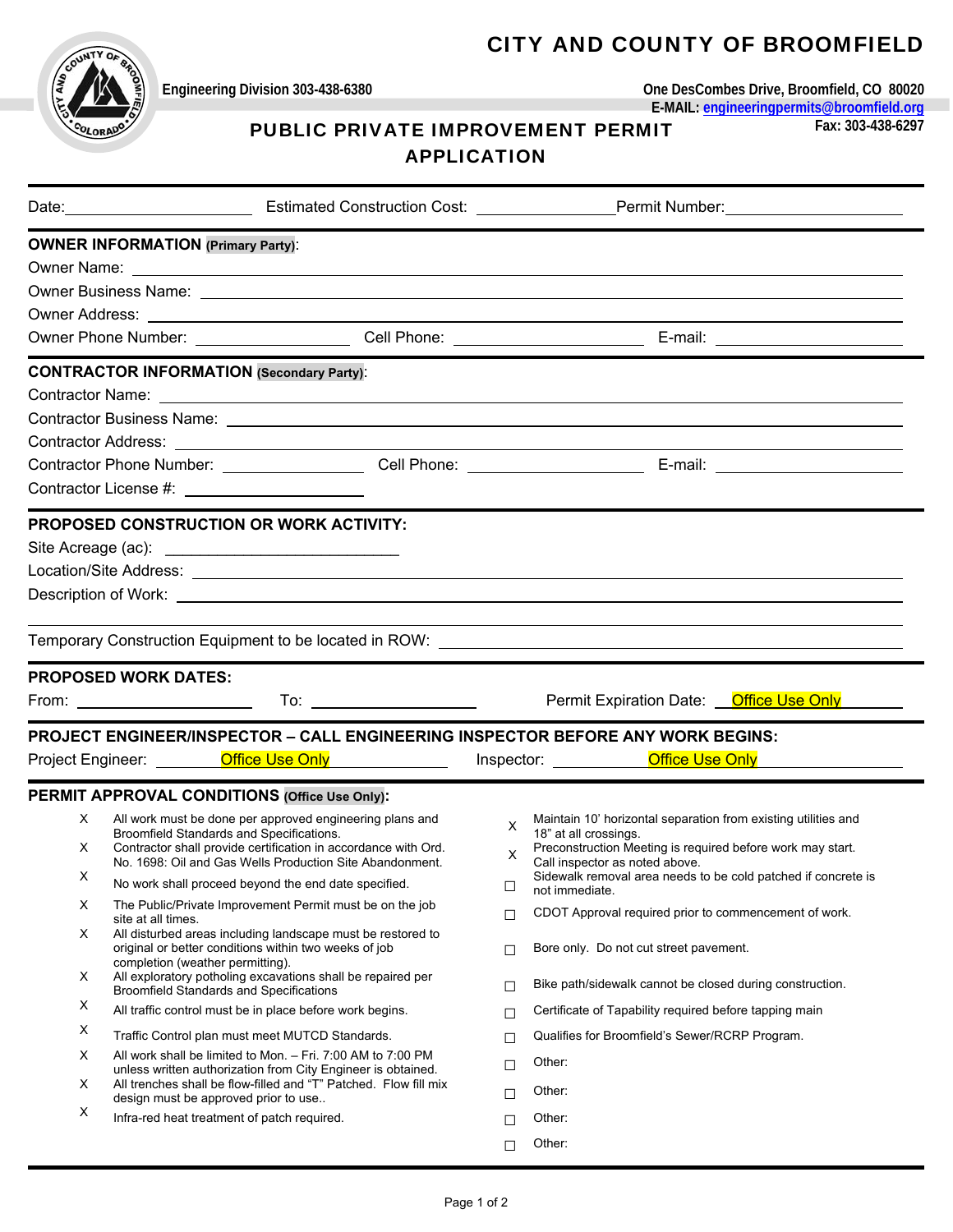## CITY AND COUNTY OF BROOMFIELD



**Engineering Division 303-438-6380 One DesCombes Drive, Broomfield, CO 80020 E-MAIL: engineeringpermits@broomfield.org** 

# PUBLIC PRIVATE IMPROVEMENT PERMIT **Fax: 303-438-6297**

#### APPLICATION

|   |                                                                                                                                                   | Date: <u>Net and the State of Estimated Construction Cost:</u> Net also permit Number: Net also be a state of the Estimated Construction Cost: 2008. Permit Number:                                                            |  |  |  |  |
|---|---------------------------------------------------------------------------------------------------------------------------------------------------|--------------------------------------------------------------------------------------------------------------------------------------------------------------------------------------------------------------------------------|--|--|--|--|
|   | <b>OWNER INFORMATION (Primary Party):</b>                                                                                                         |                                                                                                                                                                                                                                |  |  |  |  |
|   |                                                                                                                                                   |                                                                                                                                                                                                                                |  |  |  |  |
|   |                                                                                                                                                   |                                                                                                                                                                                                                                |  |  |  |  |
|   |                                                                                                                                                   |                                                                                                                                                                                                                                |  |  |  |  |
|   |                                                                                                                                                   |                                                                                                                                                                                                                                |  |  |  |  |
|   | <b>CONTRACTOR INFORMATION (Secondary Party):</b>                                                                                                  |                                                                                                                                                                                                                                |  |  |  |  |
|   |                                                                                                                                                   |                                                                                                                                                                                                                                |  |  |  |  |
|   |                                                                                                                                                   |                                                                                                                                                                                                                                |  |  |  |  |
|   |                                                                                                                                                   |                                                                                                                                                                                                                                |  |  |  |  |
|   |                                                                                                                                                   |                                                                                                                                                                                                                                |  |  |  |  |
|   |                                                                                                                                                   |                                                                                                                                                                                                                                |  |  |  |  |
|   | <b>PROPOSED CONSTRUCTION OR WORK ACTIVITY:</b>                                                                                                    |                                                                                                                                                                                                                                |  |  |  |  |
|   |                                                                                                                                                   |                                                                                                                                                                                                                                |  |  |  |  |
|   |                                                                                                                                                   |                                                                                                                                                                                                                                |  |  |  |  |
|   |                                                                                                                                                   |                                                                                                                                                                                                                                |  |  |  |  |
|   |                                                                                                                                                   |                                                                                                                                                                                                                                |  |  |  |  |
|   |                                                                                                                                                   | Temporary Construction Equipment to be located in ROW: \\connection\\connection\\connection\\connection Equipment to be located in ROW: \\connection\\connection\\connection\\connection\\connection\\connection\\connection\\ |  |  |  |  |
|   | <b>PROPOSED WORK DATES:</b>                                                                                                                       |                                                                                                                                                                                                                                |  |  |  |  |
|   |                                                                                                                                                   | Permit Expiration Date: <b>Office Use Only</b>                                                                                                                                                                                 |  |  |  |  |
|   | PROJECT ENGINEER/INSPECTOR - CALL ENGINEERING INSPECTOR BEFORE ANY WORK BEGINS:                                                                   |                                                                                                                                                                                                                                |  |  |  |  |
|   | Project Engineer: <u>_________Office Use Only</u> _______________                                                                                 | Inspector: <b>Office Use Only</b>                                                                                                                                                                                              |  |  |  |  |
|   | PERMIT APPROVAL CONDITIONS (Office Use Only):                                                                                                     |                                                                                                                                                                                                                                |  |  |  |  |
| X | All work must be done per approved engineering plans and                                                                                          | Maintain 10' horizontal separation from existing utilities and<br>X                                                                                                                                                            |  |  |  |  |
| X | Broomfield Standards and Specifications.<br>Contractor shall provide certification in accordance with Ord.                                        | 18" at all crossings.<br>Preconstruction Meeting is required before work may start.                                                                                                                                            |  |  |  |  |
|   | No. 1698: Oil and Gas Wells Production Site Abandonment.                                                                                          | X<br>Call inspector as noted above.                                                                                                                                                                                            |  |  |  |  |
| X | No work shall proceed beyond the end date specified.                                                                                              | Sidewalk removal area needs to be cold patched if concrete is<br>$\Box$<br>not immediate.                                                                                                                                      |  |  |  |  |
| х | The Public/Private Improvement Permit must be on the job<br>site at all times.                                                                    | CDOT Approval required prior to commencement of work.<br>$\Box$                                                                                                                                                                |  |  |  |  |
| х | All disturbed areas including landscape must be restored to<br>original or better conditions within two weeks of job                              | Bore only. Do not cut street pavement.<br>$\Box$                                                                                                                                                                               |  |  |  |  |
| X | completion (weather permitting).<br>All exploratory potholing excavations shall be repaired per<br><b>Broomfield Standards and Specifications</b> | Bike path/sidewalk cannot be closed during construction.<br>$\Box$                                                                                                                                                             |  |  |  |  |
| X | All traffic control must be in place before work begins.                                                                                          | Certificate of Tapability required before tapping main<br>$\Box$                                                                                                                                                               |  |  |  |  |
| Х |                                                                                                                                                   | Qualifies for Broomfield's Sewer/RCRP Program.                                                                                                                                                                                 |  |  |  |  |
| Х | Traffic Control plan must meet MUTCD Standards.                                                                                                   | $\Box$                                                                                                                                                                                                                         |  |  |  |  |
|   | All work shall be limited to Mon. - Fri. 7:00 AM to 7:00 PM                                                                                       | Other:                                                                                                                                                                                                                         |  |  |  |  |
| х | unless written authorization from City Engineer is obtained.<br>All trenches shall be flow-filled and "T" Patched. Flow fill mix                  | □                                                                                                                                                                                                                              |  |  |  |  |
|   | design must be approved prior to use                                                                                                              | Other:<br>□                                                                                                                                                                                                                    |  |  |  |  |
| X | Infra-red heat treatment of patch required.                                                                                                       | Other:<br>$\Box$<br>Other:                                                                                                                                                                                                     |  |  |  |  |